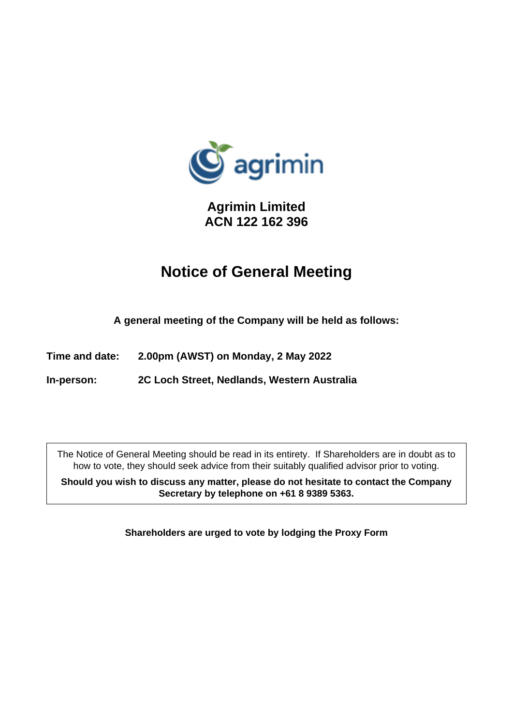

**Agrimin Limited ACN 122 162 396**

# **Notice of General Meeting**

**A general meeting of the Company will be held as follows:**

**Time and date: 2.00pm (AWST) on Monday, 2 May 2022**

**In-person: 2C Loch Street, Nedlands, Western Australia** 

The Notice of General Meeting should be read in its entirety. If Shareholders are in doubt as to how to vote, they should seek advice from their suitably qualified advisor prior to voting.

**Should you wish to discuss any matter, please do not hesitate to contact the Company Secretary by telephone on +61 8 9389 5363.**

**Shareholders are urged to vote by lodging the Proxy Form**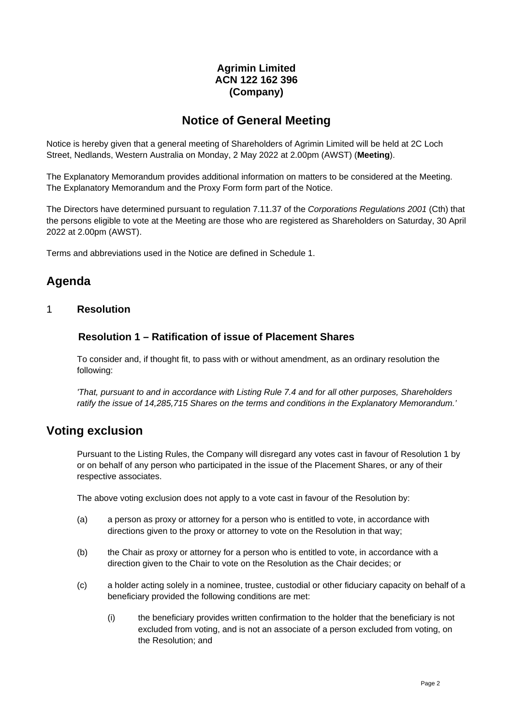# **Agrimin Limited ACN 122 162 396 (Company)**

# **Notice of General Meeting**

Notice is hereby given that a general meeting of Shareholders of Agrimin Limited will be held at 2C Loch Street, Nedlands, Western Australia on Monday, 2 May 2022 at 2.00pm (AWST) (**Meeting**).

The Explanatory Memorandum provides additional information on matters to be considered at the Meeting. The Explanatory Memorandum and the Proxy Form form part of the Notice.

The Directors have determined pursuant to regulation 7.11.37 of the *Corporations Regulations 2001* (Cth) that the persons eligible to vote at the Meeting are those who are registered as Shareholders on Saturday, 30 April 2022 at 2.00pm (AWST).

Terms and abbreviations used in the Notice are defined in [Schedule](#page-8-0) 1.

# **Agenda**

## 1 **Resolution**

### <span id="page-1-0"></span>**Resolution 1 – Ratification of issue of Placement Shares**

To consider and, if thought fit, to pass with or without amendment, as an ordinary resolution the following:

*'That, pursuant to and in accordance with Listing Rule 7.4 and for all other purposes, Shareholders ratify the issue of 14,285,715 Shares on the terms and conditions in the Explanatory Memorandum.'* 

# **Voting exclusion**

Pursuant to the Listing Rules, the Company will disregard any votes cast in favour of [Resolution 1](#page-1-0) by or on behalf of any person who participated in the issue of the Placement Shares, or any of their respective associates.

The above voting exclusion does not apply to a vote cast in favour of the Resolution by:

- (a) a person as proxy or attorney for a person who is entitled to vote, in accordance with directions given to the proxy or attorney to vote on the Resolution in that way;
- (b) the Chair as proxy or attorney for a person who is entitled to vote, in accordance with a direction given to the Chair to vote on the Resolution as the Chair decides; or
- (c) a holder acting solely in a nominee, trustee, custodial or other fiduciary capacity on behalf of a beneficiary provided the following conditions are met:
	- (i) the beneficiary provides written confirmation to the holder that the beneficiary is not excluded from voting, and is not an associate of a person excluded from voting, on the Resolution; and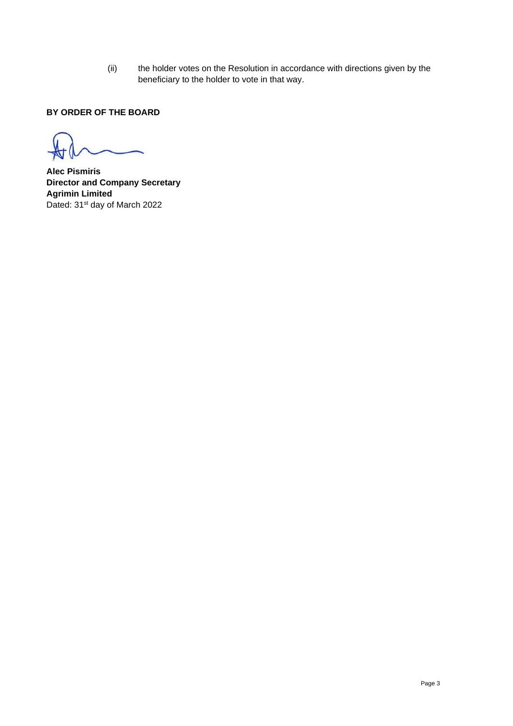(ii) the holder votes on the Resolution in accordance with directions given by the beneficiary to the holder to vote in that way.

### **BY ORDER OF THE BOARD**

**Alec Pismiris Director and Company Secretary Agrimin Limited** Dated: 31<sup>st</sup> day of March 2022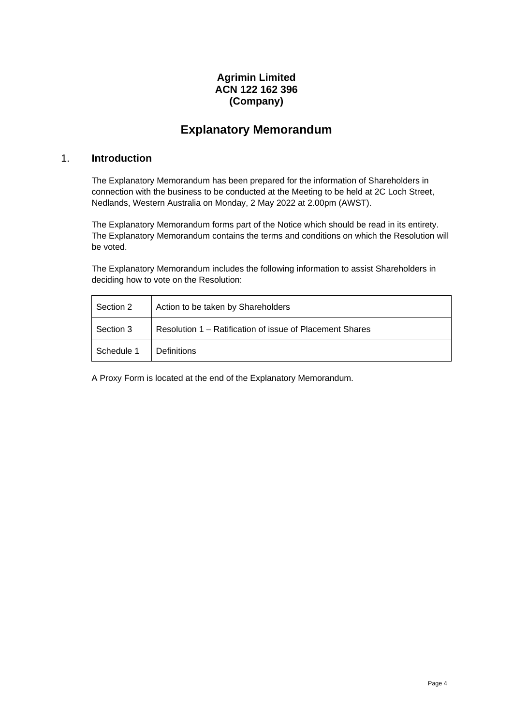# **Agrimin Limited ACN 122 162 396 (Company)**

# **Explanatory Memorandum**

### 1. **Introduction**

The Explanatory Memorandum has been prepared for the information of Shareholders in connection with the business to be conducted at the Meeting to be held at 2C Loch Street, Nedlands, Western Australia on Monday, 2 May 2022 at 2.00pm (AWST).

The Explanatory Memorandum forms part of the Notice which should be read in its entirety. The Explanatory Memorandum contains the terms and conditions on which the Resolution will be voted.

The Explanatory Memorandum includes the following information to assist Shareholders in deciding how to vote on the Resolution:

| Section 2  | Action to be taken by Shareholders                       |  |  |
|------------|----------------------------------------------------------|--|--|
| Section 3  | Resolution 1 – Ratification of issue of Placement Shares |  |  |
| Schedule 1 | <b>Definitions</b>                                       |  |  |

A Proxy Form is located at the end of the Explanatory Memorandum.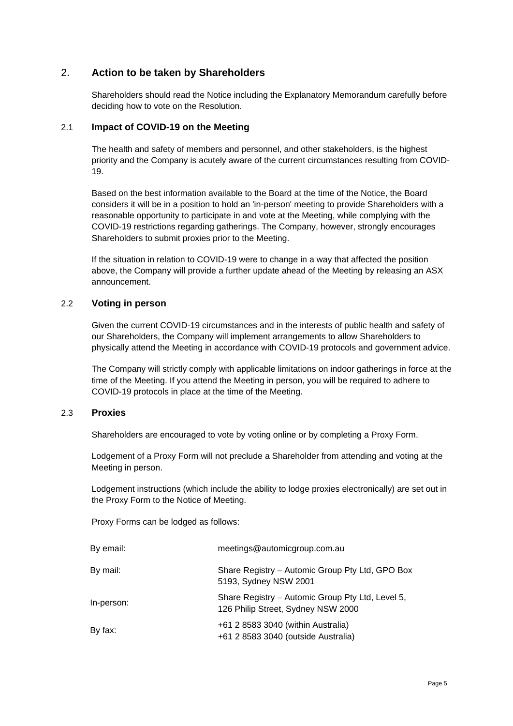## <span id="page-4-0"></span>2. **Action to be taken by Shareholders**

Shareholders should read the Notice including the Explanatory Memorandum carefully before deciding how to vote on the Resolution.

#### 2.1 **Impact of COVID-19 on the Meeting**

The health and safety of members and personnel, and other stakeholders, is the highest priority and the Company is acutely aware of the current circumstances resulting from COVID-19.

Based on the best information available to the Board at the time of the Notice, the Board considers it will be in a position to hold an 'in-person' meeting to provide Shareholders with a reasonable opportunity to participate in and vote at the Meeting, while complying with the COVID-19 restrictions regarding gatherings. The Company, however, strongly encourages Shareholders to submit proxies prior to the Meeting.

If the situation in relation to COVID-19 were to change in a way that affected the position above, the Company will provide a further update ahead of the Meeting by releasing an ASX announcement.

#### 2.2 **Voting in person**

Given the current COVID-19 circumstances and in the interests of public health and safety of our Shareholders, the Company will implement arrangements to allow Shareholders to physically attend the Meeting in accordance with COVID-19 protocols and government advice.

The Company will strictly comply with applicable limitations on indoor gatherings in force at the time of the Meeting. If you attend the Meeting in person, you will be required to adhere to COVID-19 protocols in place at the time of the Meeting.

#### 2.3 **Proxies**

Shareholders are encouraged to vote by voting online or by completing a Proxy Form.

Lodgement of a Proxy Form will not preclude a Shareholder from attending and voting at the Meeting in person.

Lodgement instructions (which include the ability to lodge proxies electronically) are set out in the Proxy Form to the Notice of Meeting.

Proxy Forms can be lodged as follows:

| By email:  | meetings@automicgroup.com.au                                                           |
|------------|----------------------------------------------------------------------------------------|
| By mail:   | Share Registry - Automic Group Pty Ltd, GPO Box<br>5193, Sydney NSW 2001               |
| In-person: | Share Registry - Automic Group Pty Ltd, Level 5,<br>126 Philip Street, Sydney NSW 2000 |
| By fax:    | +61 2 8583 3040 (within Australia)<br>+61 2 8583 3040 (outside Australia)              |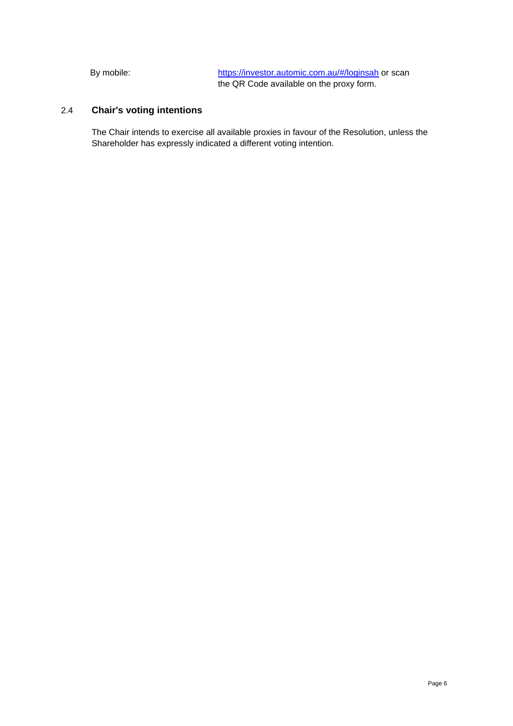By mobile: <https://investor.automic.com.au/#/loginsah> or scan the QR Code available on the proxy form.

# 2.4 **Chair's voting intentions**

The Chair intends to exercise all available proxies in favour of the Resolution, unless the Shareholder has expressly indicated a different voting intention.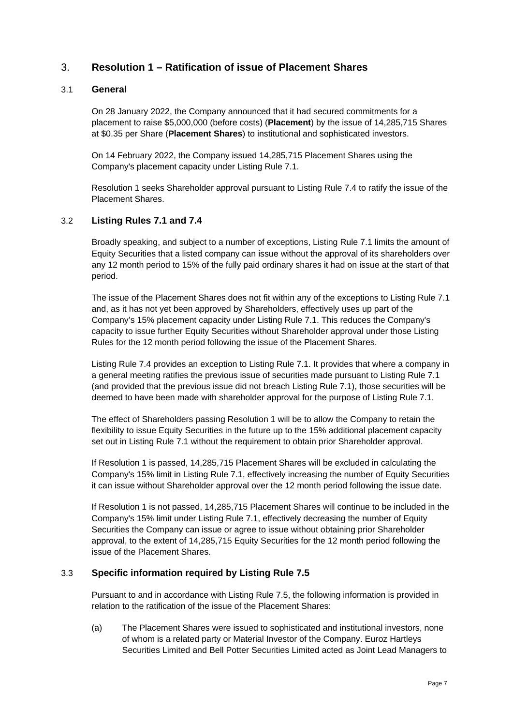## <span id="page-6-0"></span>3. **[Resolution 1](#page-1-0) – [Ratification of issue of Placement Shares](#page-1-0)**

#### <span id="page-6-1"></span>3.1 **General**

On 28 January 2022, the Company announced that it had secured commitments for a placement to raise \$5,000,000 (before costs) (**Placement**) by the issue of 14,285,715 Shares at \$0.35 per Share (**Placement Shares**) to institutional and sophisticated investors.

On 14 February 2022, the Company issued 14,285,715 Placement Shares using the Company's placement capacity under Listing Rule 7.1.

[Resolution 1](#page-1-0) seeks Shareholder approval pursuant to Listing Rule 7.4 to ratify the issue of the Placement Shares.

#### 3.2 **Listing Rules 7.1 and 7.4**

Broadly speaking, and subject to a number of exceptions, Listing Rule 7.1 limits the amount of Equity Securities that a listed company can issue without the approval of its shareholders over any 12 month period to 15% of the fully paid ordinary shares it had on issue at the start of that period.

The issue of the Placement Shares does not fit within any of the exceptions to Listing Rule 7.1 and, as it has not yet been approved by Shareholders, effectively uses up part of the Company's 15% placement capacity under Listing Rule 7.1. This reduces the Company's capacity to issue further Equity Securities without Shareholder approval under those Listing Rules for the 12 month period following the issue of the Placement Shares.

Listing Rule 7.4 provides an exception to Listing Rule 7.1. It provides that where a company in a general meeting ratifies the previous issue of securities made pursuant to Listing Rule 7.1 (and provided that the previous issue did not breach Listing Rule 7.1), those securities will be deemed to have been made with shareholder approval for the purpose of Listing Rule 7.1.

The effect of Shareholders passing [Resolution 1](#page-1-0) will be to allow the Company to retain the flexibility to issue Equity Securities in the future up to the 15% additional placement capacity set out in Listing Rule 7.1 without the requirement to obtain prior Shareholder approval.

If [Resolution 1](#page-1-0) is passed, 14,285,715 Placement Shares will be excluded in calculating the Company's 15% limit in Listing Rule 7.1, effectively increasing the number of Equity Securities it can issue without Shareholder approval over the 12 month period following the issue date.

If [Resolution 1](#page-1-0) is not passed, 14,285,715 Placement Shares will continue to be included in the Company's 15% limit under Listing Rule 7.1, effectively decreasing the number of Equity Securities the Company can issue or agree to issue without obtaining prior Shareholder approval, to the extent of 14,285,715 Equity Securities for the 12 month period following the issue of the Placement Shares.

#### 3.3 **Specific information required by Listing Rule 7.5**

Pursuant to and in accordance with Listing Rule 7.5, the following information is provided in relation to the ratification of the issue of the Placement Shares:

(a) The Placement Shares were issued to sophisticated and institutional investors, none of whom is a related party or Material Investor of the Company. Euroz Hartleys Securities Limited and Bell Potter Securities Limited acted as Joint Lead Managers to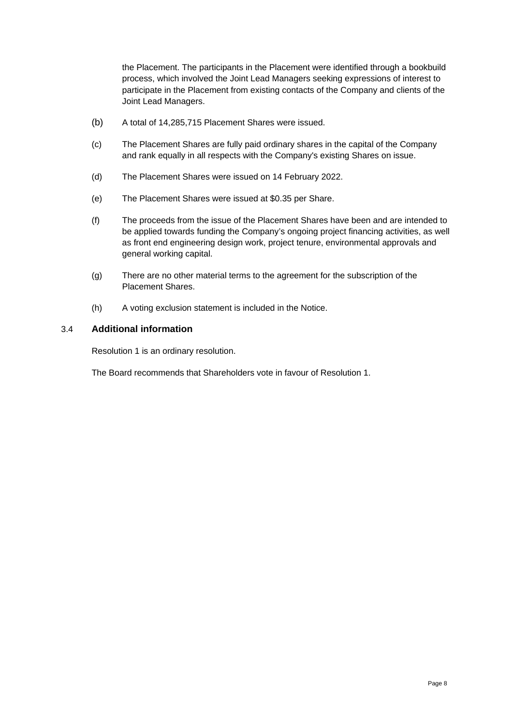the Placement. The participants in the Placement were identified through a bookbuild process, which involved the Joint Lead Managers seeking expressions of interest to participate in the Placement from existing contacts of the Company and clients of the Joint Lead Managers.

- (b) A total of 14,285,715 Placement Shares were issued.
- (c) The Placement Shares are fully paid ordinary shares in the capital of the Company and rank equally in all respects with the Company's existing Shares on issue.
- (d) The Placement Shares were issued on 14 February 2022.
- (e) The Placement Shares were issued at \$0.35 per Share.
- (f) The proceeds from the issue of the Placement Shares have been and are intended to be applied towards funding the Company's ongoing project financing activities, as well as front end engineering design work, project tenure, environmental approvals and general working capital.
- (g) There are no other material terms to the agreement for the subscription of the Placement Shares.
- (h) A voting exclusion statement is included in the Notice.

#### 3.4 **Additional information**

[Resolution 1](#page-1-0) is an ordinary resolution.

The Board recommends that Shareholders vote in favour of [Resolution 1.](#page-1-0)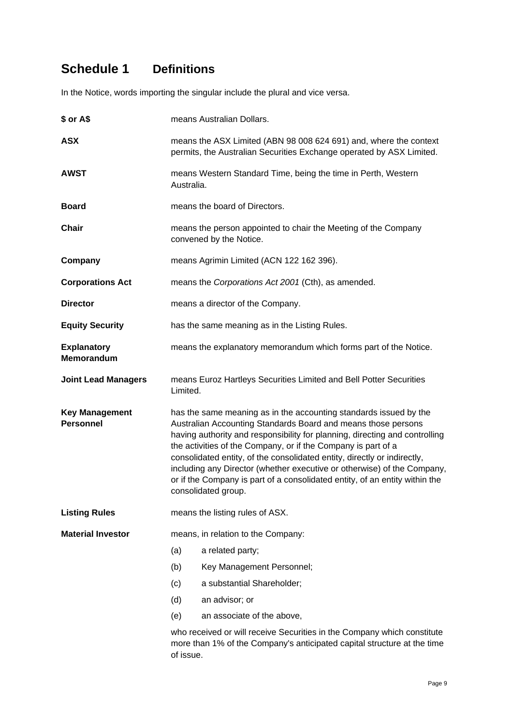# <span id="page-8-0"></span>**Schedule 1 Definitions**

In the Notice, words importing the singular include the plural and vice versa.

| \$ or A\$                                               | means Australian Dollars.                                                                                                                                                                                                                                                                                                                                                                                                                                                                                                                       |                            |  |  |
|---------------------------------------------------------|-------------------------------------------------------------------------------------------------------------------------------------------------------------------------------------------------------------------------------------------------------------------------------------------------------------------------------------------------------------------------------------------------------------------------------------------------------------------------------------------------------------------------------------------------|----------------------------|--|--|
| <b>ASX</b>                                              | means the ASX Limited (ABN 98 008 624 691) and, where the context<br>permits, the Australian Securities Exchange operated by ASX Limited.                                                                                                                                                                                                                                                                                                                                                                                                       |                            |  |  |
| <b>AWST</b>                                             | means Western Standard Time, being the time in Perth, Western<br>Australia.                                                                                                                                                                                                                                                                                                                                                                                                                                                                     |                            |  |  |
| <b>Board</b>                                            | means the board of Directors.                                                                                                                                                                                                                                                                                                                                                                                                                                                                                                                   |                            |  |  |
| <b>Chair</b>                                            | means the person appointed to chair the Meeting of the Company<br>convened by the Notice.                                                                                                                                                                                                                                                                                                                                                                                                                                                       |                            |  |  |
| Company                                                 | means Agrimin Limited (ACN 122 162 396).                                                                                                                                                                                                                                                                                                                                                                                                                                                                                                        |                            |  |  |
| <b>Corporations Act</b>                                 | means the Corporations Act 2001 (Cth), as amended.                                                                                                                                                                                                                                                                                                                                                                                                                                                                                              |                            |  |  |
| <b>Director</b>                                         | means a director of the Company.                                                                                                                                                                                                                                                                                                                                                                                                                                                                                                                |                            |  |  |
| <b>Equity Security</b>                                  | has the same meaning as in the Listing Rules.                                                                                                                                                                                                                                                                                                                                                                                                                                                                                                   |                            |  |  |
| <b>Explanatory</b><br>Memorandum                        | means the explanatory memorandum which forms part of the Notice.                                                                                                                                                                                                                                                                                                                                                                                                                                                                                |                            |  |  |
| <b>Joint Lead Managers</b>                              | means Euroz Hartleys Securities Limited and Bell Potter Securities<br>Limited.                                                                                                                                                                                                                                                                                                                                                                                                                                                                  |                            |  |  |
| <b>Key Management</b><br><b>Personnel</b>               | has the same meaning as in the accounting standards issued by the<br>Australian Accounting Standards Board and means those persons<br>having authority and responsibility for planning, directing and controlling<br>the activities of the Company, or if the Company is part of a<br>consolidated entity, of the consolidated entity, directly or indirectly,<br>including any Director (whether executive or otherwise) of the Company,<br>or if the Company is part of a consolidated entity, of an entity within the<br>consolidated group. |                            |  |  |
| <b>Listing Rules</b><br>means the listing rules of ASX. |                                                                                                                                                                                                                                                                                                                                                                                                                                                                                                                                                 |                            |  |  |
| <b>Material Investor</b>                                | means, in relation to the Company:                                                                                                                                                                                                                                                                                                                                                                                                                                                                                                              |                            |  |  |
|                                                         | (a)                                                                                                                                                                                                                                                                                                                                                                                                                                                                                                                                             | a related party;           |  |  |
|                                                         | (b)                                                                                                                                                                                                                                                                                                                                                                                                                                                                                                                                             | Key Management Personnel;  |  |  |
|                                                         | (c)                                                                                                                                                                                                                                                                                                                                                                                                                                                                                                                                             | a substantial Shareholder; |  |  |
|                                                         | (d)                                                                                                                                                                                                                                                                                                                                                                                                                                                                                                                                             | an advisor; or             |  |  |
|                                                         | (e)                                                                                                                                                                                                                                                                                                                                                                                                                                                                                                                                             | an associate of the above, |  |  |
|                                                         | who received or will receive Securities in the Company which constitute<br>more than 1% of the Company's anticipated capital structure at the time<br>of issue.                                                                                                                                                                                                                                                                                                                                                                                 |                            |  |  |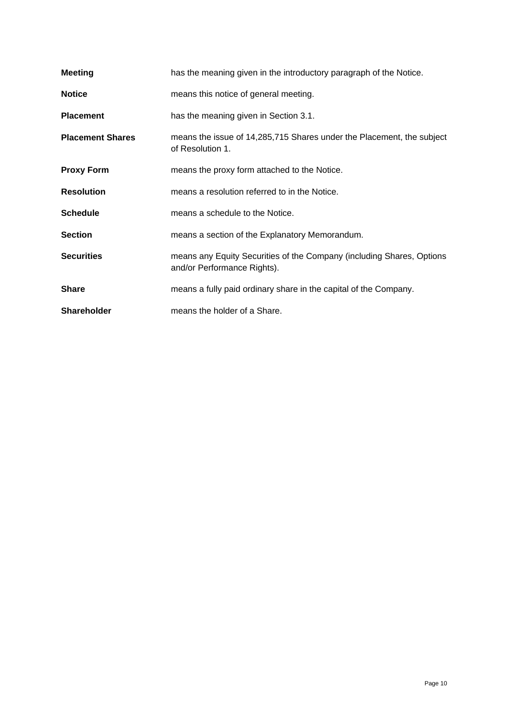| <b>Meeting</b>          | has the meaning given in the introductory paragraph of the Notice.                                   |  |  |
|-------------------------|------------------------------------------------------------------------------------------------------|--|--|
| <b>Notice</b>           | means this notice of general meeting.                                                                |  |  |
| <b>Placement</b>        | has the meaning given in Section 3.1.                                                                |  |  |
| <b>Placement Shares</b> | means the issue of 14,285,715 Shares under the Placement, the subject<br>of Resolution 1.            |  |  |
| <b>Proxy Form</b>       | means the proxy form attached to the Notice.                                                         |  |  |
| <b>Resolution</b>       | means a resolution referred to in the Notice.                                                        |  |  |
| <b>Schedule</b>         | means a schedule to the Notice.                                                                      |  |  |
| <b>Section</b>          | means a section of the Explanatory Memorandum.                                                       |  |  |
| <b>Securities</b>       | means any Equity Securities of the Company (including Shares, Options<br>and/or Performance Rights). |  |  |
| <b>Share</b>            | means a fully paid ordinary share in the capital of the Company.                                     |  |  |
| <b>Shareholder</b>      | means the holder of a Share.                                                                         |  |  |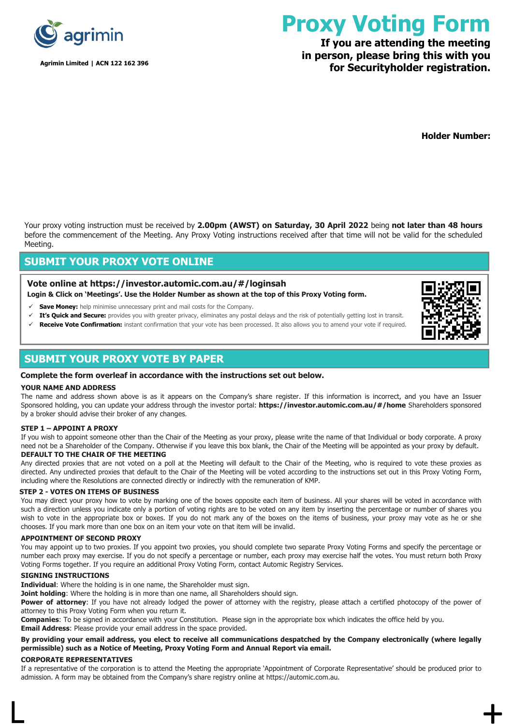

**Agrimin Limited | ACN 122 162 396**

# **Proxy Voting Form**

# **If you are attending the meeting in person, please bring this with you for Securityholder registration.**

**Holder Number:**

Your proxy voting instruction must be received by **2.00pm (AWST) on Saturday, 30 April 2022** being **not later than 48 hours** before the commencement of the Meeting. Any Proxy Voting instructions received after that time will not be valid for the scheduled Meeting.

#### **SUBMIT YOUR PROXY VOTE ONLINE**

#### **Vote online at<https://investor.automic.com.au/#/loginsah> Login & Click on 'Meetings'. Use the Holder Number as shown at the top of this Proxy Voting form.**

- **Save Money:** help minimise unnecessary print and mail costs for the Company.
- ✓ **It's Quick and Secure:** provides you with greater privacy, eliminates any postal delays and the risk of potentially getting lost in transit.
- Receive Vote Confirmation: instant confirmation that your vote has been processed. It also allows you to amend your vote if required.

## **SUBMIT YOUR PROXY VOTE BY PAPER**

#### **Complete the form overleaf in accordance with the instructions set out below.**

#### **YOUR NAME AND ADDRESS**

The name and address shown above is as it appears on the Company's share register. If this information is incorrect, and you have an Issuer Sponsored holding, you can update your address through the investor portal: **https://investor.automic.com.au/#/home** Shareholders sponsored by a broker should advise their broker of any changes.

#### **STEP 1 – APPOINT A PROXY**

If you wish to appoint someone other than the Chair of the Meeting as your proxy, please write the name of that Individual or body corporate. A proxy need not be a Shareholder of the Company. Otherwise if you leave this box blank, the Chair of the Meeting will be appointed as your proxy by default. **DEFAULT TO THE CHAIR OF THE MEETING**

#### Any directed proxies that are not voted on a poll at the Meeting will default to the Chair of the Meeting, who is required to vote these proxies as directed. Any undirected proxies that default to the Chair of the Meeting will be voted according to the instructions set out in this Proxy Voting Form, including where the Resolutions are connected directly or indirectly with the remuneration of KMP.

#### **STEP 2 - VOTES ON ITEMS OF BUSINESS**

You may direct your proxy how to vote by marking one of the boxes opposite each item of business. All your shares will be voted in accordance with such a direction unless you indicate only a portion of voting rights are to be voted on any item by inserting the percentage or number of shares you wish to vote in the appropriate box or boxes. If you do not mark any of the boxes on the items of business, your proxy may vote as he or she chooses. If you mark more than one box on an item your vote on that item will be invalid.

#### **APPOINTMENT OF SECOND PROXY**

You may appoint up to two proxies. If you appoint two proxies, you should complete two separate Proxy Voting Forms and specify the percentage or number each proxy may exercise. If you do not specify a percentage or number, each proxy may exercise half the votes. You must return both Proxy Voting Forms together. If you require an additional Proxy Voting Form, contact Automic Registry Services.

#### **SIGNING INSTRUCTIONS**

**Individual**: Where the holding is in one name, the Shareholder must sign.

**Joint holding**: Where the holding is in more than one name, all Shareholders should sign.

Power of attorney: If you have not already lodged the power of attorney with the registry, please attach a certified photocopy of the power of attorney to this Proxy Voting Form when you return it.

**Companies**: To be signed in accordance with your Constitution. Please sign in the appropriate box which indicates the office held by you. **Email Address**: Please provide your email address in the space provided.

#### **By providing your email address, you elect to receive all communications despatched by the Company electronically (where legally permissible) such as a Notice of Meeting, Proxy Voting Form and Annual Report via email.**

#### **CORPORATE REPRESENTATIVES**

If a representative of the corporation is to attend the Meeting the appropriate 'Appointment of Corporate Representative' should be produced prior to admission. A form may be obtained from the Company's share registry online at https://automic.com.au.

 $\mathsf{L}$  +